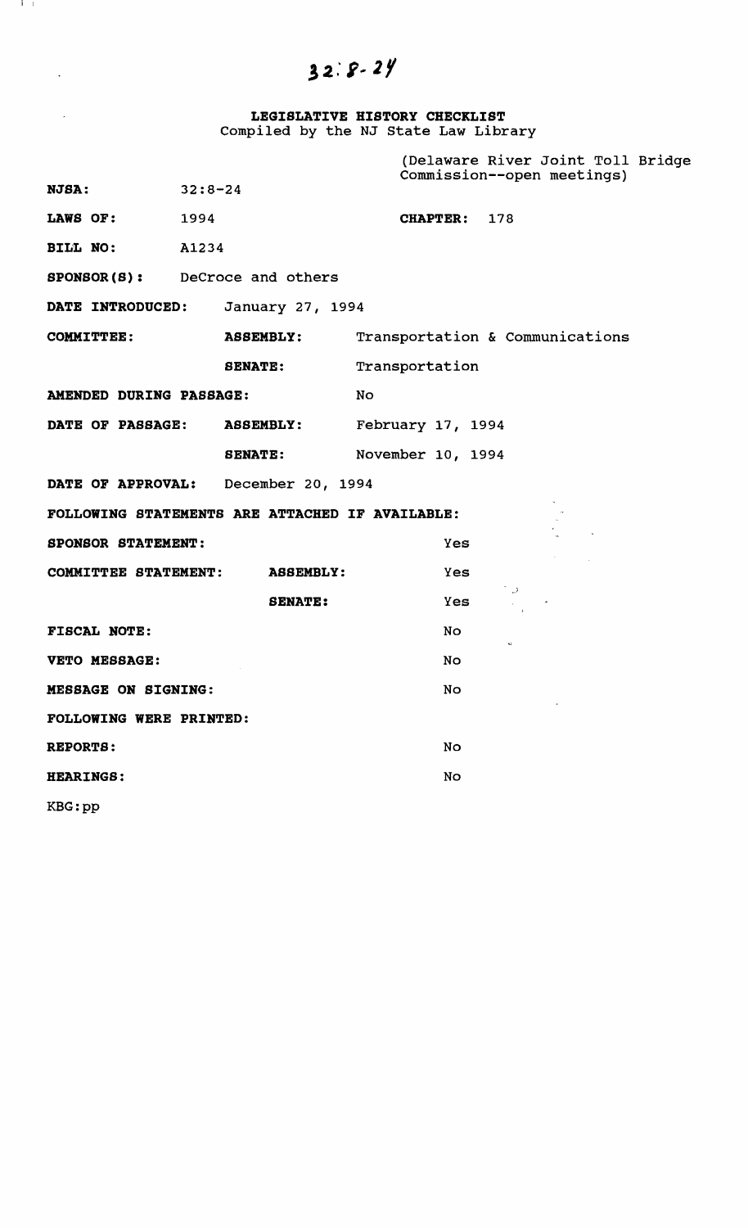## $32.8 - 24$

**LEGISLATIVE HISTORY CHECKLIST**  Compiled by the NJ state Law Library

|                                                 |                  | (Delaware River Joint Toll Bridge<br>Commission--open meetings) |
|-------------------------------------------------|------------------|-----------------------------------------------------------------|
| NJSA:                                           | $32:8-24$        |                                                                 |
| LAWS OF:                                        | 1994             | CHAPTER: 178                                                    |
| BILL NO:                                        | A1234            |                                                                 |
| <b>SPONSOR(S):</b> DeCroce and others           |                  |                                                                 |
| DATE INTRODUCED:                                | January 27, 1994 |                                                                 |
| <b>COMMITTEE:</b>                               | <b>ASSEMBLY:</b> | Transportation & Communications                                 |
|                                                 | <b>SENATE:</b>   | Transportation                                                  |
| AMENDED DURING PASSAGE:                         |                  | No                                                              |
| DATE OF PASSAGE:                                | <b>ASSEMBLY:</b> | February 17, 1994                                               |
|                                                 | <b>SENATE:</b>   | November 10, 1994                                               |
| DATE OF APPROVAL: December 20, 1994             |                  |                                                                 |
| FOLLOWING STATEMENTS ARE ATTACHED IF AVAILABLE: |                  |                                                                 |
| <b>SPONSOR STATEMENT:</b>                       |                  | <b>Yes</b>                                                      |
| COMMITTEE STATEMENT:                            | <b>ASSEMBLY:</b> | Yes                                                             |
|                                                 | <b>SENATE:</b>   | $\rightarrow$<br>Yes                                            |
| <b>FISCAL NOTE:</b>                             |                  | No                                                              |
| VETO MESSAGE:                                   |                  | No                                                              |
| MESSAGE ON SIGNING:                             |                  | No                                                              |
| FOLLOWING WERE PRINTED:                         |                  |                                                                 |
| REPORTS:                                        |                  | No                                                              |
| <b>HEARINGS:</b>                                |                  | No                                                              |
|                                                 |                  |                                                                 |

KBG:pp

I I

 $\langle \cdot \rangle$ 

 $\mathcal{L}(\mathcal{A})$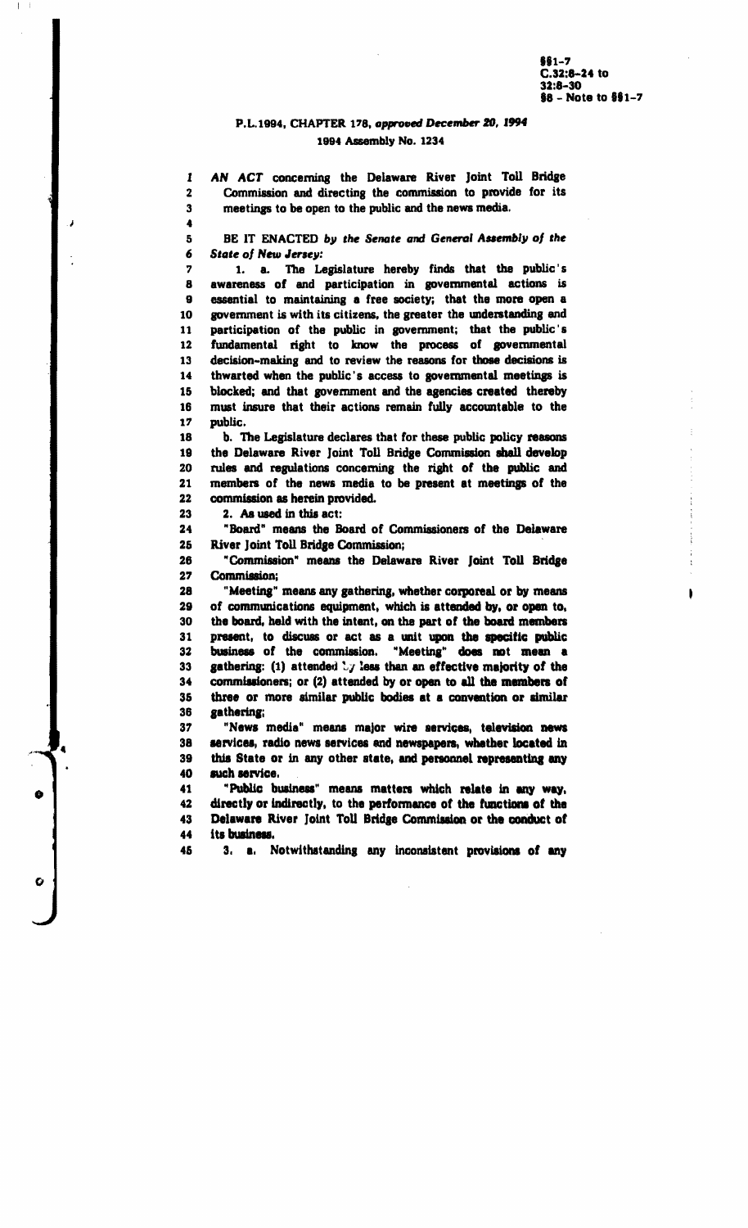I

#### P.L.1994, CHAPTER 178, approved December 20, 1994 1994 Assembly No. 1234

AN ACT concerning the Delaware River Joint Toll Bridge Commission and directing the commission to provide for its meetings to be open to the public and the news media.

BE IT ENACTED by the Senate and General Assembly of the **State of New Jersey:** 

1. a. The Legislature hereby finds that the public's  $\overline{2}$ 8 awareness of and participation in governmental actions is 9 essential to maintaining a free society; that the more open a 10 government is with its citizens, the greater the understanding and participation of the public in government; that the public's 11  $\bf 12$ fundamental right to know the process of governmental decision-making and to review the reasons for those decisions is 13 14 thwarted when the public's access to governmental meetings is blocked; and that government and the agencies created thereby 15 must insure that their actions remain fully accountable to the 16 public. 17

18 b. The Legislature declares that for these public policy reasons 19 the Delaware River Joint Toll Bridge Commission shall develop 20 rules and regulations concerning the right of the public and members of the news media to be present at meetings of the 21  $22$ commission as herein provided.

2. As used in this act:

1  $\overline{2}$ 

 ${\bf 3}$ 

 $\blacktriangleleft$ 

5 6

23 24

25

J

O

"Board" means the Board of Commissioners of the Delaware River Joint Toll Bridge Commission;

26 "Commission" means the Delaware River Joint Toll Bridge  $27$ Commission:

28 "Meeting" means any gathering, whether corporeal or by means of communications equipment, which is attended by, or open to, 29 30 the board, held with the intent, on the part of the board members present, to discuss or act as a unit upon the specific public 31 business of the commission. "Meeting" does not mean a 32 33 gathering: (1) attended  $\sqrt{y}$  less than an effective majority of the commissioners; or (2) attended by or open to all the members of 34 35 three or more similar public bodies at a convention or similar 36 gathering;

"News media" means major wire services, television news 37 services, radio news services and newspapers, whether located in 38 39 this State or in any other state, and personnel representing any 40 such service.

"Public business" means matters which relate in any way, 41 42 directly or indirectly, to the performance of the functions of the Delaware River Joint Toll Bridge Commission or the conduct of 43 44 its business.

3. a. Notwithstanding any inconsistent provisions of any 45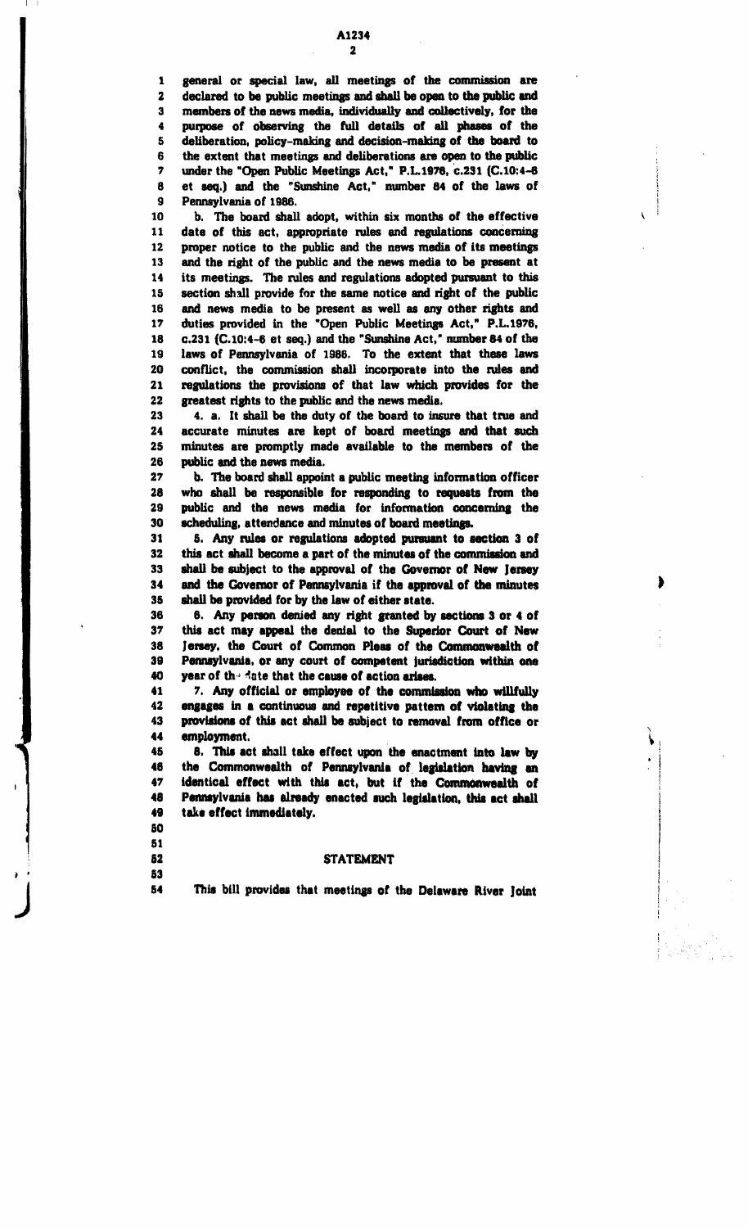7 under the "Open Public Meetings Act," P.L.1978, c.231 (C. 10: 4-8 8 et seq.) and the "Sunshine Act," number 84 of the laws of 9 Pennsylvania of 1986.

10 b. The board shall adopt. within six months of the effective 11 date of this act, appropriate rules and regulations concerning 12 proper notice to the public and the news media of its meetings 13 and the right of the public and the news media to be present at 14 its meetings. The rules and regulations adopted pursuant to this 15 section shall provide for the same notice and right of the public 16 and news media to be present as well as any other rights and 17 duties provided in the "Open Public Meetings Act," P.L.1976, 18 c.231 (C.I0:4-8 et seq.) and the "Sunshine Act," number 84 of the 19 laws of Pennsylvania of 1986. To the extent that these laws 20 conllict. the commission shall incorporate into the rules and 21 regulations the provisions of that law which provides for the 22 greatest rights to the public and the news media.

23 4. a. It shall be the duty of the board to insure that true and 24 accurate minutes are kept of board meetings and that such 25 minutes are promptly made available to the members of the 28 public and the news media.

27 b. The board shall appoint a public meeting information officer 28 who shall be responsible for responding to requests from the 29 public and the news media for information concerning the 30 scheduling, attendance and minutes of board meetings.

31 5. Any rules or regulations adopted pursuant to section 3 of 32 this act shall become a part of the minutes of the commission and 33 shall be subject to the approval of the Governor of New Jeney 34 and the Governor of Pennsylvania if the approval of the minutes 35 shall be provided for by the law of either 8tate.

36 8. Any person denied any right granted by sections 3 or 4 of 31 this act may appeal the denial to the Superior Court of New 38 Jensey, the Court of Common Pleas of the Commonwealth of 39 Pennsylvania, or any court of competent jurisdiction within one Pennsylvania, or any court of competent jurisdiction within one  $40$  year of the date that the cause of action arises.

41 1. Any official or employee of the commission who willfully 42 engages in a continuous and repetitive pattern of violating the 42 engages in a continuous and repetitive pattern of violating the<br>43 provisions of this act shall be subject to removal from office or provisions of this act shall be subject to removal from office or 44 employment.

 $\ddot{\phantom{1}}$  $\blacklozenge$ . I ! j

45 8. This act shall take effect upon the enactment into law by 48 the Commonwealth of Pennsylvania of legislation having an 47 identical effect with this act, but if the Commonwealth of 48 Pennsylvania has already enacted such legislation, this act shall  $49$  take effect immediately. take effect immediately.

&0 51

 $\blacksquare$ 

#### **52** STATEMENT

• • &3

J

54 11 This bill provides that meetings of the Delaware River Joint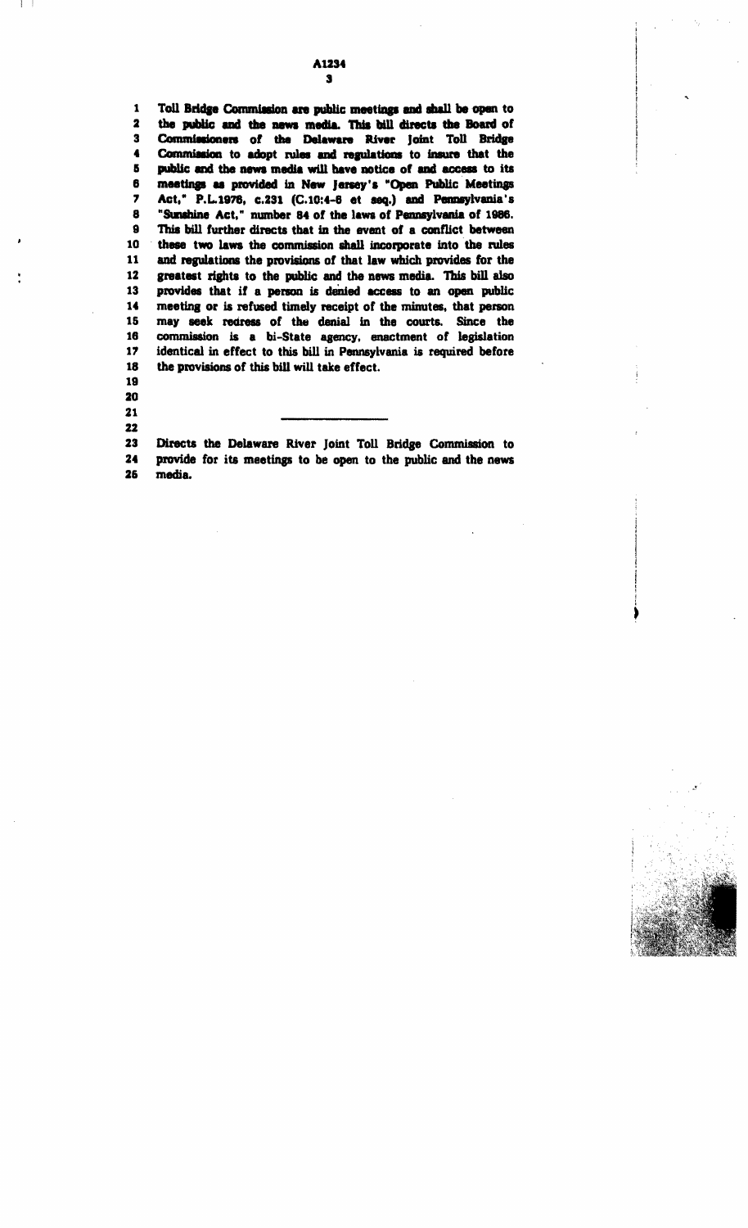#### A1234  $\bullet$

Toll Bridge Commission are public meetings and shall be open to  $\mathbf{1}$  $\overline{\mathbf{z}}$ the public and the news media. This bill directs the Board of  $\overline{\mathbf{3}}$ Commissioners of the Delaware River Joint Toll Bridge Commission to adopt rules and regulations to insure that the 4 5 public and the news media will have notice of and access to its 6 meetings as provided in New Jersey's "Open Public Meetings Act," P.L.1976, c.231 (C.10:4-6 et seq.) and Pennsylvania's  $\overline{ }$ 8 "Sunshine Act," number 84 of the laws of Pennsylvania of 1986. This bill further directs that in the event of a conflict between 9 10 these two laws the commission shall incorporate into the rules 11 and regulations the provisions of that law which provides for the 12 greatest rights to the public and the news media. This bill also 13 provides that if a person is denied access to an open public 14 meeting or is refused timely receipt of the minutes, that person 15 may seek redress of the denial in the courts. Since the commission is a bi-State agency, enactment of legislation 16 17 identical in effect to this bill in Pennsylvania is required before 18 the provisions of this bill will take effect.

19  $20$ 

21 22

23 Directs the Delaware River Joint Toll Bridge Commission to  $24$ provide for its meetings to be open to the public and the news 26 media.

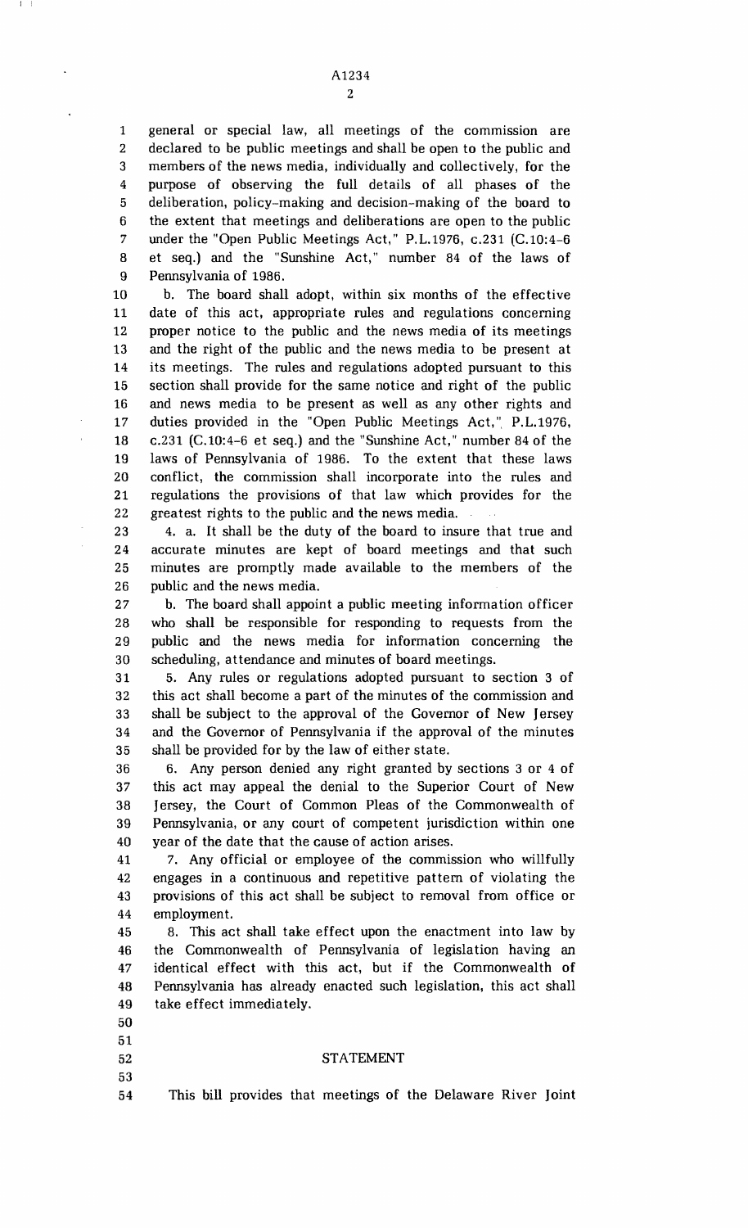A1234 2

5 1 general or special law, all meetings of the commission are 2 declared to be public meetings and shall be open to the public and 3 members of the news media, individually and collectively, for the 4 purpose of observing the full details of all phases of the deliberation, policy-making and decision-making of the board to 6 the extent that meetings and deliberations are open to the public 7 under the "Open Public Meetings Act," P.L.1976, c.231 (C.10:4-6 8 et seq.) and the "Sunshine Act," number 84 of the laws of 9 Pennsylvania of 1986.

10 15 20 b. The board shall adopt, within six months of the effective 11 date of this act, appropriate rules and regulations concerning 12 proper notice to the public and the news media of its meetings 13 and the right of the public and the news media to be present at 14 its meetings. The rules and regulations adopted pursuant to this section shall provide for the same notice and right of the public 16 and news media to be present as well as any other rights and 17 duties provided in the "Open Public Meetings Act," P.L.1976, 18 c.231 (C.1O:4-6 et seq.) and the "Sunshine Act," number 84 of the 19 laws of Pennsylvania of 1986. To the extent that these laws conflict, the commission shall incorporate into the rules and 21 regulations the provisions of that law which provides for the 22 greatest rights to the public and the news media.

25 23 4. a. It shall be the duty of the board to insure that true and 24 accurate minutes are kept of board meetings and that such minutes are promptly made available to the members of the 26 public and the news media.

30 27 b. The board shall appoint a public meeting information officer 28 who shall be responsible for responding to requests from the 29 public and the news media for information concerning the scheduling, attendance and minutes of board meetings.

35 31 5. Any rules or regulations adopted pursuant to section 3 of 32 this act shall become a part of the minutes of the commission and 33 shall be subject to the approval of the Governor of New Jersey 34 and the Governor of Pennsylvania if the approval of the minutes shall be provided for by the law of either state.

40 36 6. Any person denied any right granted by sections 3 or 4 of 37 this act may appeal the denial to the Superior Court of New 38 Jersey, the Court of Common Pleas of the Commonwealth of 39 Pennsylvania, or any court of competent jurisdiction within one year of the date that the cause of action arises.

41 7. Any official or employee of the commission who willfully 42 engages in a continuous and repetitive pattern of violating the 43 provisions of this act shall be subject to removal from office or 44 employment.

45 8. This act shall take effect upon the enactment into law by 46 the Commonwealth of Pennsylvania of legislation having an 47 identical effect with this act, but if the Commonwealth of 48 Pennsylvania has already enacted such legislation, this act shall 49 take effect immediately.

- 50
- 51
	-
- 53

### 52 STATEMENT

54 This bill provides that meetings of the Delaware River Joint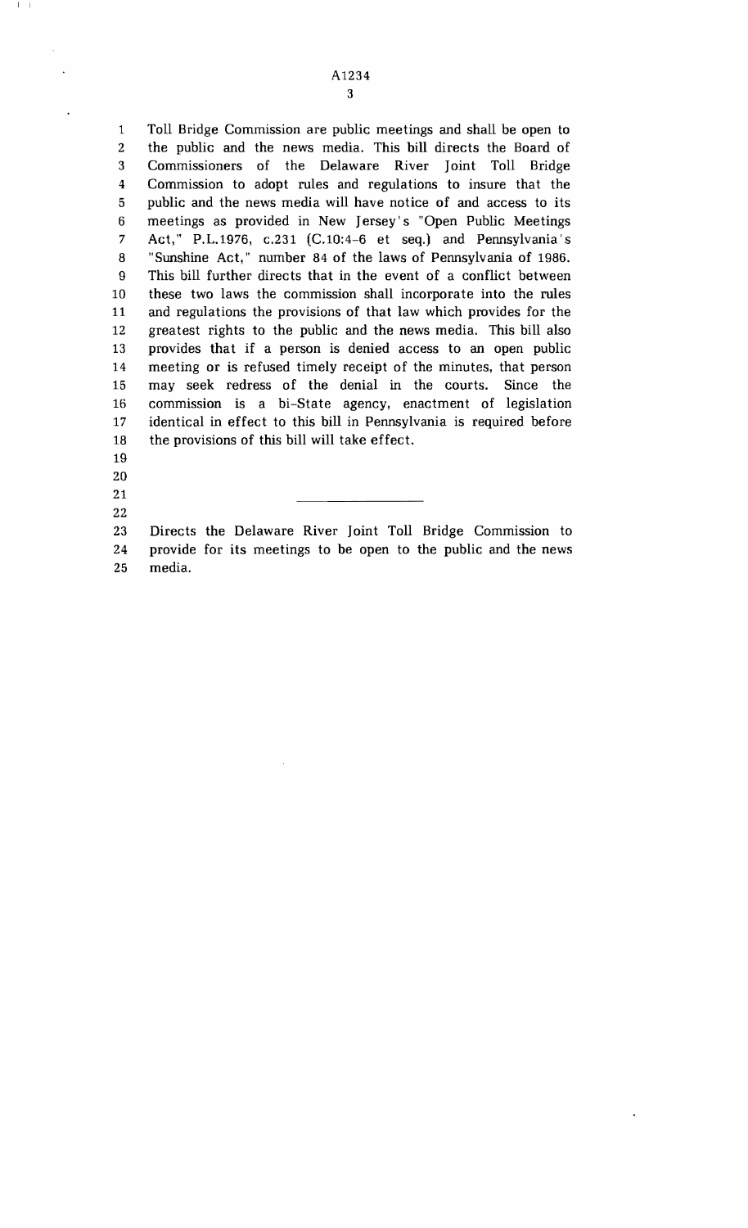1 Toll Bridge Commission are public meetings and shall be open to 2 the public and the news media. This bill directs the Board of 3 Commissioners of the Delaware River Joint Toll Bridge 4 Commission to adopt rules and regulations to insure that the 5 public and the news media will have notice of and access to its 6 meetings as provided in New Jersey's "Open Public Meetings 7 Act," P.L.1976, c.231 (C.1O:4-6 et seq.) and Pennsylvania's 8 "Sunshine Act," number 84 of the laws of Pennsylvania of 1986. 9 This bill further directs that in the event of a conflict between 10 these two laws the commission shall incorporate into the rules 11 and regulations the provisions of that law which provides for the 12 greatest rights to the public and the news media. This bill also 13 provides that if a person is denied access to an open public 14 meeting or is refused timely receipt of the minutes, that person 15 may seek redress of the denial in the courts. Since the 16 commission is a bi-State agency, enactment of legislation 17 identical in effect to this bill in Pennsylvania is required before 18 the provisions of this bill will take effect.

22

19 20 21

 $\vert \ \ \ \vert$ 

23 Directs the Delaware River Joint Toll Bridge Commission to 24 provide for its meetings to be open to the public and the news 25 media.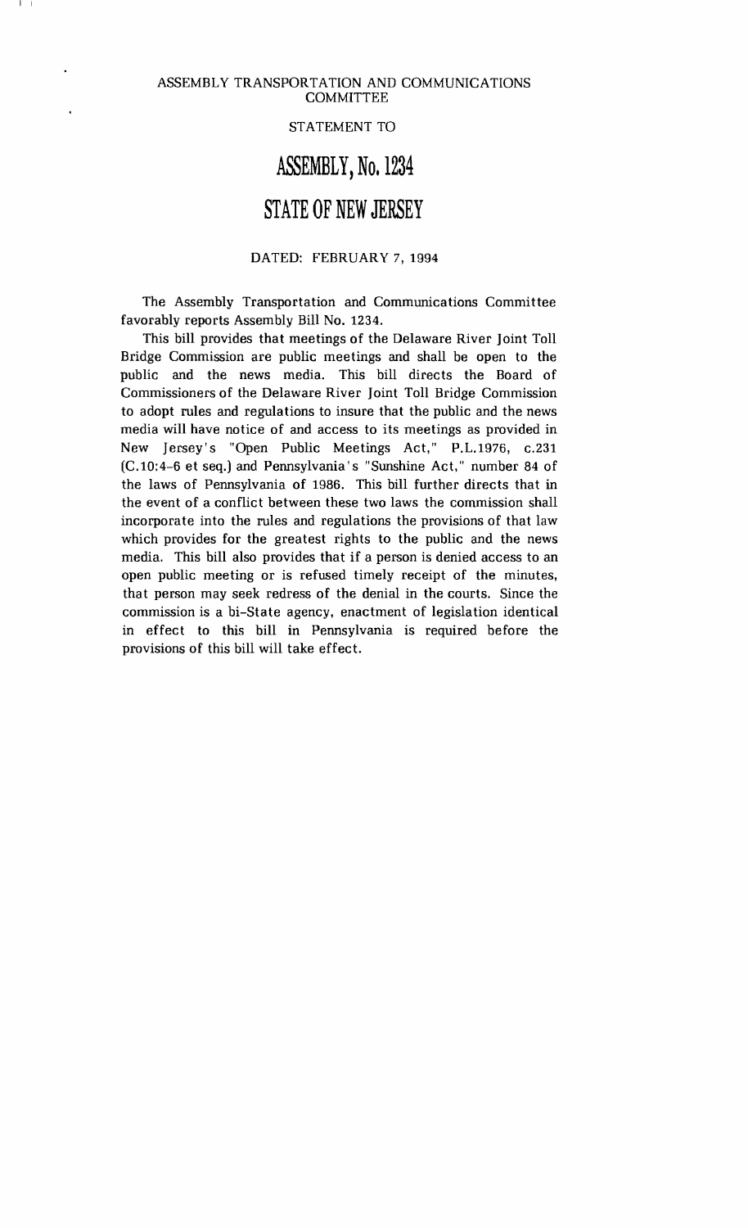I I

### STATEMENT TO

# **ASSEMBLY,** No. 1234

## **STATE OF NEW JERSEY**

### DATED: FEBRUARY 7, 1994

The Assembly Transportation and Communications Committee favorably reports Assembly Bill No. 1234.

This bill provides that meetings of the Delaware River Joint Toll Bridge Commission are public meetings and shall be open to the public and the news media. This bill directs the Board of Commissioners of the Delaware River Joint Toll Bridge Commission to adopt rules and regulations to insure that the public and the news media will have notice of and access to its meetings as provided in New Jersey's "Open Public Meetings Act," P.L.1976, c.231 (C.10:4-6 et seq.) and Pennsylvania's "Sunshine Act," number 84 of the laws of Pennsylvania of 1986. This bill further directs that in the event of a conflict between these two laws the commission shall incorporate into the rules and regulations the provisions of that law which provides for the greatest rights to the public and the news media. This bill also provides that if a person is denied access to an open public meeting or is refused timely receipt of the minutes, that person may seek redress of the denial in the courts. Since the commission is a bi-State agency, enactment of legislation identical in effect to this bill in Pennsylvania is required before the provisions of this bill will take effect.